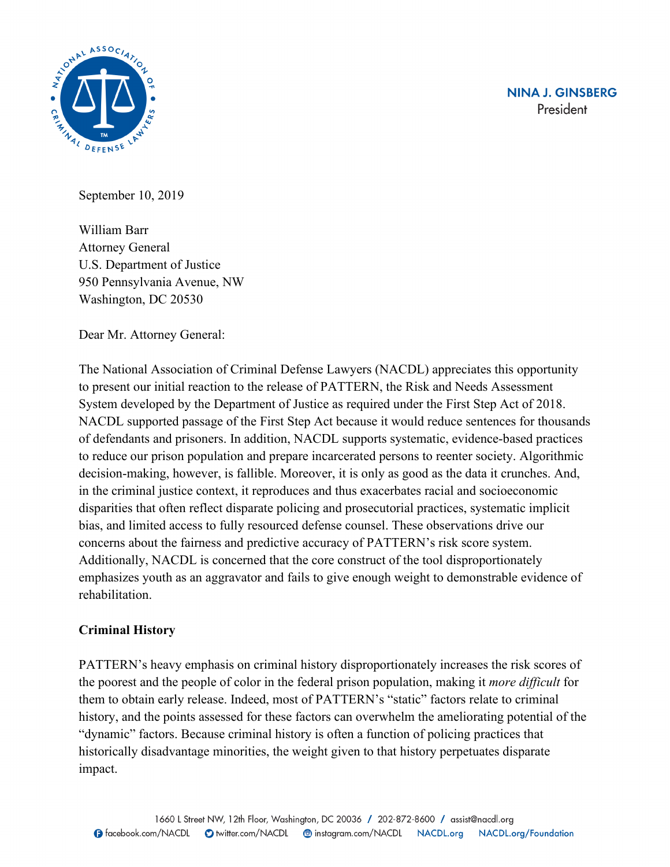



September 10, 2019

William Barr Attorney General U.S. Department of Justice 950 Pennsylvania Avenue, NW Washington, DC 20530

Dear Mr. Attorney General:

The National Association of Criminal Defense Lawyers (NACDL) appreciates this opportunity to present our initial reaction to the release of PATTERN, the Risk and Needs Assessment System developed by the Department of Justice as required under the First Step Act of 2018. NACDL supported passage of the First Step Act because it would reduce sentences for thousands of defendants and prisoners. In addition, NACDL supports systematic, evidence-based practices to reduce our prison population and prepare incarcerated persons to reenter society. Algorithmic decision-making, however, is fallible. Moreover, it is only as good as the data it crunches. And, in the criminal justice context, it reproduces and thus exacerbates racial and socioeconomic disparities that often reflect disparate policing and prosecutorial practices, systematic implicit bias, and limited access to fully resourced defense counsel. These observations drive our concerns about the fairness and predictive accuracy of PATTERN's risk score system. Additionally, NACDL is concerned that the core construct of the tool disproportionately emphasizes youth as an aggravator and fails to give enough weight to demonstrable evidence of rehabilitation.

# **Criminal History**

PATTERN's heavy emphasis on criminal history disproportionately increases the risk scores of the poorest and the people of color in the federal prison population, making it *more difficult* for them to obtain early release. Indeed, most of PATTERN's "static" factors relate to criminal history, and the points assessed for these factors can overwhelm the ameliorating potential of the "dynamic" factors. Because criminal history is often a function of policing practices that historically disadvantage minorities, the weight given to that history perpetuates disparate impact.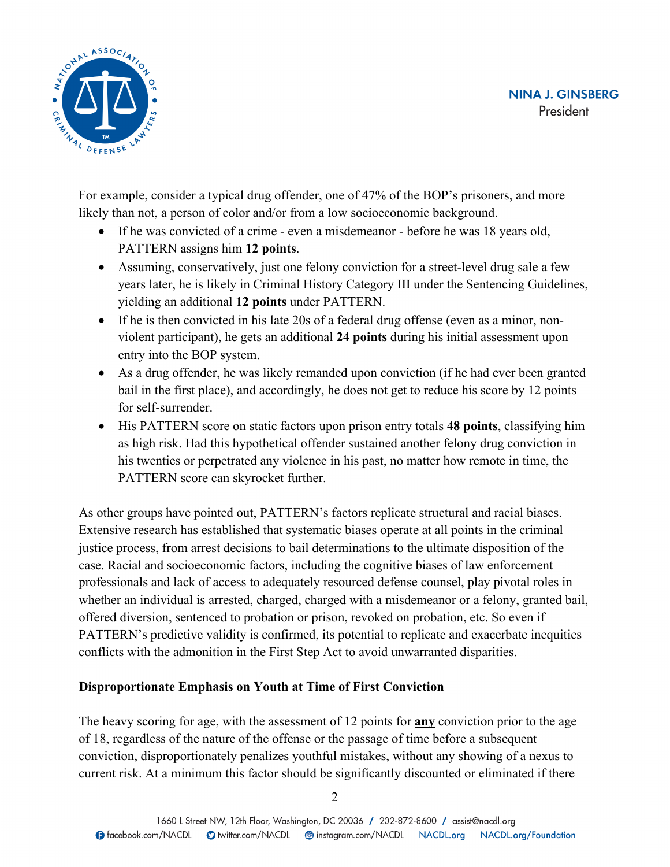

For example, consider a typical drug offender, one of 47% of the BOP's prisoners, and more likely than not, a person of color and/or from a low socioeconomic background.

- If he was convicted of a crime even a misdemeanor before he was 18 years old, PATTERN assigns him **12 points**.
- Assuming, conservatively, just one felony conviction for a street-level drug sale a few years later, he is likely in Criminal History Category III under the Sentencing Guidelines, yielding an additional **12 points** under PATTERN.
- If he is then convicted in his late 20s of a federal drug offense (even as a minor, nonviolent participant), he gets an additional **24 points** during his initial assessment upon entry into the BOP system.
- As a drug offender, he was likely remanded upon conviction (if he had ever been granted bail in the first place), and accordingly, he does not get to reduce his score by 12 points for self-surrender.
- His PATTERN score on static factors upon prison entry totals **48 points**, classifying him as high risk. Had this hypothetical offender sustained another felony drug conviction in his twenties or perpetrated any violence in his past, no matter how remote in time, the PATTERN score can skyrocket further.

As other groups have pointed out, PATTERN's factors replicate structural and racial biases. Extensive research has established that systematic biases operate at all points in the criminal justice process, from arrest decisions to bail determinations to the ultimate disposition of the case. Racial and socioeconomic factors, including the cognitive biases of law enforcement professionals and lack of access to adequately resourced defense counsel, play pivotal roles in whether an individual is arrested, charged, charged with a misdemeanor or a felony, granted bail, offered diversion, sentenced to probation or prison, revoked on probation, etc. So even if PATTERN's predictive validity is confirmed, its potential to replicate and exacerbate inequities conflicts with the admonition in the First Step Act to avoid unwarranted disparities.

# **Disproportionate Emphasis on Youth at Time of First Conviction**

The heavy scoring for age, with the assessment of 12 points for **any** conviction prior to the age of 18, regardless of the nature of the offense or the passage of time before a subsequent conviction, disproportionately penalizes youthful mistakes, without any showing of a nexus to current risk. At a minimum this factor should be significantly discounted or eliminated if there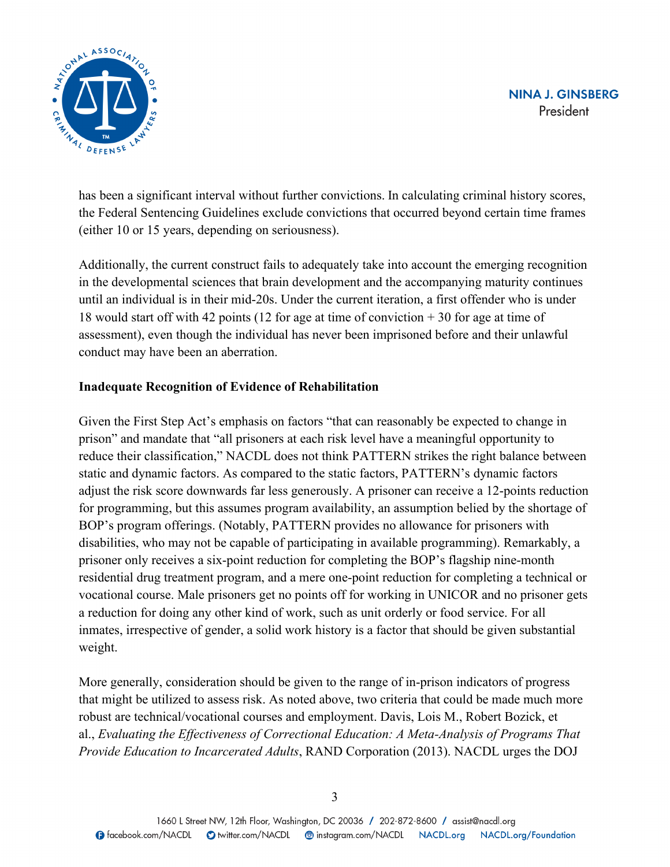

has been a significant interval without further convictions. In calculating criminal history scores, the Federal Sentencing Guidelines exclude convictions that occurred beyond certain time frames (either 10 or 15 years, depending on seriousness).

Additionally, the current construct fails to adequately take into account the emerging recognition in the developmental sciences that brain development and the accompanying maturity continues until an individual is in their mid-20s. Under the current iteration, a first offender who is under 18 would start off with 42 points (12 for age at time of conviction + 30 for age at time of assessment), even though the individual has never been imprisoned before and their unlawful conduct may have been an aberration.

### **Inadequate Recognition of Evidence of Rehabilitation**

Given the First Step Act's emphasis on factors "that can reasonably be expected to change in prison" and mandate that "all prisoners at each risk level have a meaningful opportunity to reduce their classification," NACDL does not think PATTERN strikes the right balance between static and dynamic factors. As compared to the static factors, PATTERN's dynamic factors adjust the risk score downwards far less generously. A prisoner can receive a 12-points reduction for programming, but this assumes program availability, an assumption belied by the shortage of BOP's program offerings. (Notably, PATTERN provides no allowance for prisoners with disabilities, who may not be capable of participating in available programming). Remarkably, a prisoner only receives a six-point reduction for completing the BOP's flagship nine-month residential drug treatment program, and a mere one-point reduction for completing a technical or vocational course. Male prisoners get no points off for working in UNICOR and no prisoner gets a reduction for doing any other kind of work, such as unit orderly or food service. For all inmates, irrespective of gender, a solid work history is a factor that should be given substantial weight.

More generally, consideration should be given to the range of in-prison indicators of progress that might be utilized to assess risk. As noted above, two criteria that could be made much more robust are technical/vocational courses and employment. Davis, Lois M., Robert Bozick, et al., *Evaluating the Effectiveness of Correctional Education: A Meta-Analysis of Programs That Provide Education to Incarcerated Adults*, RAND Corporation (2013). NACDL urges the DOJ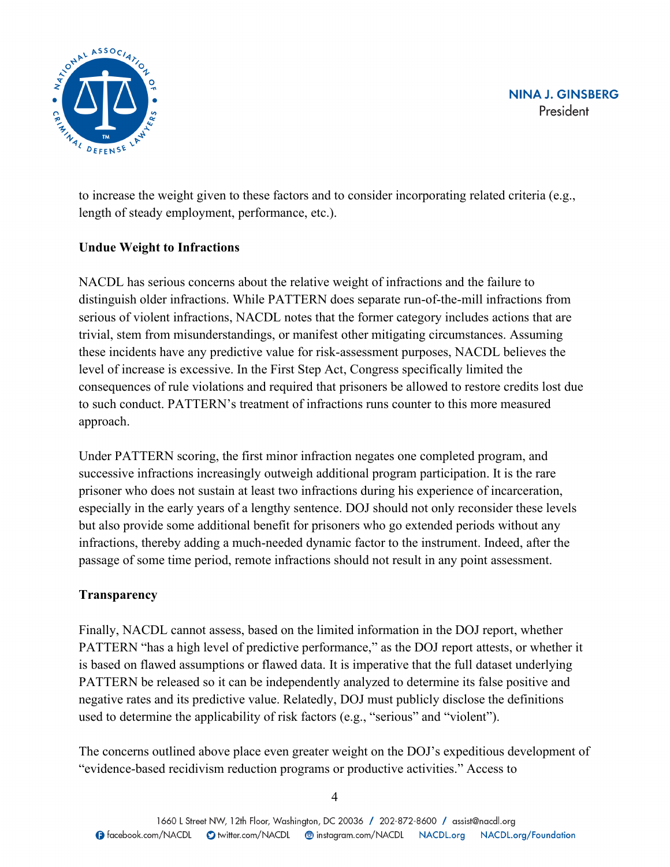

to increase the weight given to these factors and to consider incorporating related criteria (e.g., length of steady employment, performance, etc.).

# **Undue Weight to Infractions**

NACDL has serious concerns about the relative weight of infractions and the failure to distinguish older infractions. While PATTERN does separate run-of-the-mill infractions from serious of violent infractions, NACDL notes that the former category includes actions that are trivial, stem from misunderstandings, or manifest other mitigating circumstances. Assuming these incidents have any predictive value for risk-assessment purposes, NACDL believes the level of increase is excessive. In the First Step Act, Congress specifically limited the consequences of rule violations and required that prisoners be allowed to restore credits lost due to such conduct. PATTERN's treatment of infractions runs counter to this more measured approach.

Under PATTERN scoring, the first minor infraction negates one completed program, and successive infractions increasingly outweigh additional program participation. It is the rare prisoner who does not sustain at least two infractions during his experience of incarceration, especially in the early years of a lengthy sentence. DOJ should not only reconsider these levels but also provide some additional benefit for prisoners who go extended periods without any infractions, thereby adding a much-needed dynamic factor to the instrument. Indeed, after the passage of some time period, remote infractions should not result in any point assessment.

### **Transparency**

Finally, NACDL cannot assess, based on the limited information in the DOJ report, whether PATTERN "has a high level of predictive performance," as the DOJ report attests, or whether it is based on flawed assumptions or flawed data. It is imperative that the full dataset underlying PATTERN be released so it can be independently analyzed to determine its false positive and negative rates and its predictive value. Relatedly, DOJ must publicly disclose the definitions used to determine the applicability of risk factors (e.g., "serious" and "violent").

The concerns outlined above place even greater weight on the DOJ's expeditious development of "evidence-based recidivism reduction programs or productive activities." Access to